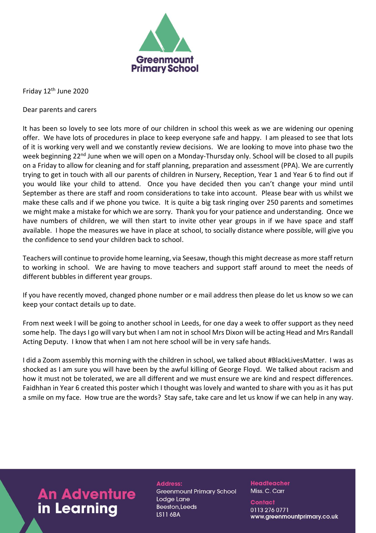

Friday 12<sup>th</sup> June 2020

Dear parents and carers

It has been so lovely to see lots more of our children in school this week as we are widening our opening offer. We have lots of procedures in place to keep everyone safe and happy. I am pleased to see that lots of it is working very well and we constantly review decisions. We are looking to move into phase two the week beginning 22<sup>nd</sup> June when we will open on a Monday-Thursday only. School will be closed to all pupils on a Friday to allow for cleaning and for staff planning, preparation and assessment (PPA). We are currently trying to get in touch with all our parents of children in Nursery, Reception, Year 1 and Year 6 to find out if you would like your child to attend. Once you have decided then you can't change your mind until September as there are staff and room considerations to take into account. Please bear with us whilst we make these calls and if we phone you twice. It is quite a big task ringing over 250 parents and sometimes we might make a mistake for which we are sorry. Thank you for your patience and understanding. Once we have numbers of children, we will then start to invite other year groups in if we have space and staff available. I hope the measures we have in place at school, to socially distance where possible, will give you the confidence to send your children back to school.

Teachers will continue to provide home learning, via Seesaw, though this might decrease as more staff return to working in school. We are having to move teachers and support staff around to meet the needs of different bubbles in different year groups.

If you have recently moved, changed phone number or e mail address then please do let us know so we can keep your contact details up to date.

From next week I will be going to another school in Leeds, for one day a week to offer support as they need some help. The days I go will vary but when I am not in school Mrs Dixon will be acting Head and Mrs Randall Acting Deputy. I know that when I am not here school will be in very safe hands.

I did a Zoom assembly this morning with the children in school, we talked about #BlackLivesMatter. I was as shocked as I am sure you will have been by the awful killing of George Floyd. We talked about racism and how it must not be tolerated, we are all different and we must ensure we are kind and respect differences. Faidhhan in Year 6 created this poster which I thought was lovely and wanted to share with you as it has put a smile on my face. How true are the words? Stay safe, take care and let us know if we can help in any way.

## **An Adventure** in Learning

**Address: Greenmount Primary School** Lodge Lane **Beeston, Leeds LS11 6BA** 

**Headteacher** Miss. C. Carr

**Contact** 0113 276 0771 www.greenmountprimary.co.uk